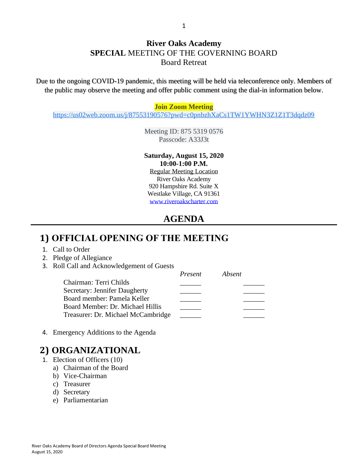#### **River Oaks Academy SPECIAL** MEETING OF THE GOVERNING BOARD Board Retreat

Due to the ongoing COVID-19 pandemic, this meeting will be held via teleconference only. Members of the public may observe the meeting and offer public comment using the dial-in information below.

#### **Join Zoom Meeting**

[https://us02web.zoom.us/j/87553190576?pwd=c0pnbzhXaCs1TW1YWHN3Z1Z1T3dqdz09](https://www.google.com/url?q=https://us02web.zoom.us/j/87553190576?pwd%3Dc0pnbzhXaCs1TW1YWHN3Z1Z1T3dqdz09&sa=D&source=calendar&ust=1597271303129000&usg=AOvVaw2iJlgMfhph1wrN-h9l5MZg)

Meeting ID: 875 5319 0576 Passcode: A33J3t

#### **Saturday, August 15, 2020 10:00-1:00 P.M.**

Regular Meeting Location River Oaks Academy 920 Hampshire Rd. Suite X Westlake Village, CA 91361 [www.riveroakscharter.com](http://www.riveroakscharter.com/)

#### **AGENDA**

### **1) OFFICIAL OPENING OF THE MEETING**

- 1. Call to Order
- 2. Pledge of Allegiance
- 3. Roll Call and Acknowledgement of Guests

|                                    | Present | Absent |
|------------------------------------|---------|--------|
| Chairman: Terri Childs             |         |        |
| Secretary: Jennifer Daugherty      |         |        |
| Board member: Pamela Keller        |         |        |
| Board Member: Dr. Michael Hillis   |         |        |
| Treasurer: Dr. Michael McCambridge |         |        |

4. Emergency Additions to the Agenda

### **2) ORGANIZATIONAL**

- 1. Election of Officers (10)
	- a) Chairman of the Board
	- b) Vice-Chairman
	- c) Treasurer
	- d) Secretary
	- e) Parliamentarian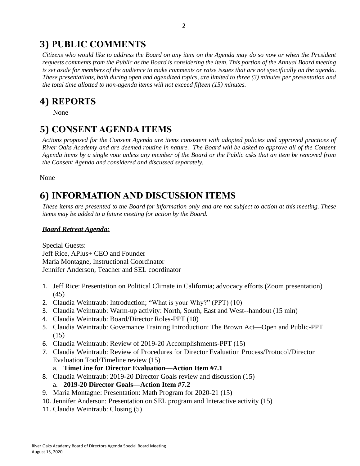## **3) PUBLIC COMMENTS**

*Citizens who would like to address the Board on any item on the Agenda may do so now or when the President requests comments from the Public as the Board is considering the item. This portion of the Annual Board meeting is set aside for members of the audience to make comments or raise issues that are not specifically on the agenda. These presentations, both during open and agendized topics, are limited to three (3) minutes per presentation and the total time allotted to non-agenda items will not exceed fifteen (15) minutes.*

## **4) REPORTS**

None

## **5) CONSENT AGENDA ITEMS**

*Actions proposed for the Consent Agenda are items consistent with adopted policies and approved practices of River Oaks Academy and are deemed routine in nature. The Board will be asked to approve all of the Consent Agenda items by a single vote unless any member of the Board or the Public asks that an item be removed from the Consent Agenda and considered and discussed separately.*

None

# **6) INFORMATION AND DISCUSSION ITEMS**

*These items are presented to the Board for information only and are not subject to action at this meeting. These items may be added to a future meeting for action by the Board.*

#### *Board Retreat Agenda:*

Special Guests: Jeff Rice, APlus+ CEO and Founder Maria Montagne, Instructional Coordinator Jennifer Anderson, Teacher and SEL coordinator

- 1. Jeff Rice: Presentation on Political Climate in California; advocacy efforts (Zoom presentation) (45)
- 2. Claudia Weintraub: Introduction; "What is your Why?" (PPT) (10)
- 3. Claudia Weintraub: Warm-up activity: North, South, East and West--handout (15 min)
- 4. Claudia Weintraub: Board/Director Roles-PPT (10)
- 5. Claudia Weintraub: Governance Training Introduction: The Brown Act—Open and Public-PPT (15)
- 6. Claudia Weintraub: Review of 2019-20 Accomplishments-PPT (15)
- 7. Claudia Weintraub: Review of Procedures for Director Evaluation Process/Protocol/Director Evaluation Tool/Timeline review (15)

a. **TimeLine for Director Evaluation—Action Item #7.1**

- 8. Claudia Weintraub: 2019-20 Director Goals review and discussion (15)
	- a. **2019-20 Director Goals—Action Item #7.2**
- 9. Maria Montagne: Presentation: Math Program for 2020-21 (15)
- 10. Jennifer Anderson: Presentation on SEL program and Interactive activity (15)
- 11. Claudia Weintraub: Closing (5)